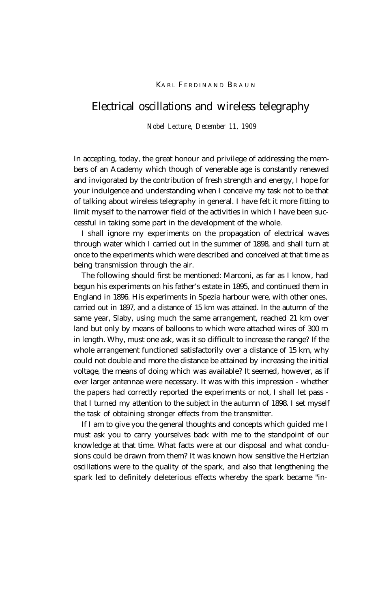# KARL FERDINAND BRAUN

# Electrical oscillations and wireless telegraphy

*Nobel Lecture, December 11, 1909*

In accepting, today, the great honour and privilege of addressing the members of an Academy which though of venerable age is constantly renewed and invigorated by the contribution of fresh strength and energy, I hope for your indulgence and understanding when I conceive my task not to be that of talking about wireless telegraphy in general. I have felt it more fitting to limit myself to the narrower field of the activities in which I have been successful in taking some part in the development of the whole.

I shall ignore my experiments on the propagation of electrical waves through water which I carried out in the summer of 1898, and shall turn at once to the experiments which were described and conceived at that time as being transmission through the air.

The following should first be mentioned: Marconi, as far as I know, had begun his experiments on his father's estate in 1895, and continued them in England in 1896. His experiments in Spezia harbour were, with other ones, carried out in 1897, and a distance of 15 km was attained. In the autumn of the same year, Slaby, using much the same arrangement, reached 21 km over land but only by means of balloons to which were attached wires of 300 m in length. Why, must one ask, was it so difficult to increase the range? If the whole arrangement functioned satisfactorily over a distance of 15 km, why could not double and more the distance be attained by increasing the initial voltage, the means of doing which was available? It seemed, however, as if ever larger antennae were necessary. It was with this impression - whether the papers had correctly reported the experiments or not, I shall let pass that I turned my attention to the subject in the autumn of 1898. I set myself the task of obtaining stronger effects from the transmitter.

If I am to give you the general thoughts and concepts which guided me I must ask you to carry yourselves back with me to the standpoint of our knowledge at that time. What facts were at our disposal and what conclusions could be drawn from them? It was known how sensitive the Hertzian oscillations were to the quality of the spark, and also that lengthening the spark led to definitely deleterious effects whereby the spark became "in-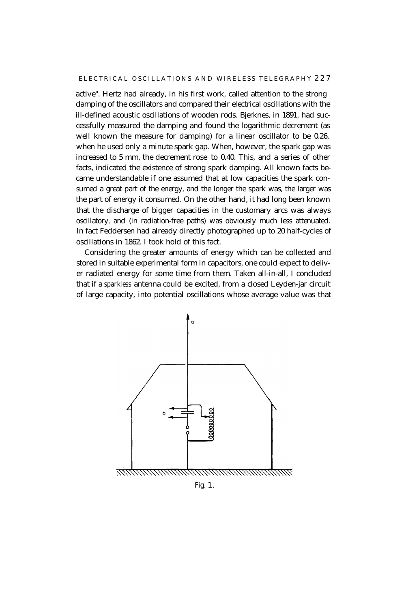### ELECTRICAL OSCILLATIONS AND WIRELESS TELEGRAPHY 2 2 7

active". Hertz had already, in his first work, called attention to the strong damping of the oscillators and compared their electrical oscillations with the ill-defined acoustic oscillations of wooden rods. Bjerknes, in 1891, had successfully measured the damping and found the logarithmic decrement (as well known the measure for damping) for a linear oscillator to be 0.26, when he used only a minute spark gap. When, however, the spark gap was increased to 5 mm, the decrement rose to 0.40. This, and a series of other facts, indicated the existence of strong spark damping. All known facts became understandable if one assumed that at low capacities the spark consumed a great part of the energy, and the longer the spark was, the larger was the part of energy it consumed. On the other hand, it had long been known that the discharge of bigger capacities in the customary arcs was always oscillatory, and (in radiation-free paths) was obviously much less attenuated. In fact Feddersen had already directly photographed up to 20 half-cycles of oscillations in 1862. I took hold of this fact.

Considering the greater amounts of energy which can be collected and stored in suitable experimental form in capacitors, one could expect to deliver radiated energy for some time from them. Taken all-in-all, I concluded that if a *sparkless* antenna could be excited, from a closed Leyden-jar circuit of large capacity, into potential oscillations whose average value was that



Fig. 1**.**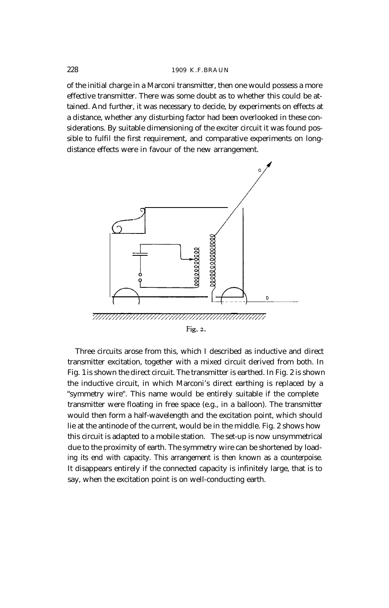of the initial charge in a Marconi transmitter, then one would possess a more effective transmitter. There was some doubt as to whether this could be attained. And further, it was necessary to decide, by experiments on effects at a distance, whether any disturbing factor had been overlooked in these considerations. By suitable dimensioning of the exciter circuit it was found possible to fulfil the first requirement, and comparative experiments on longdistance effects were in favour of the new arrangement.



Fig. 2.

Three circuits arose from this, which I described as inductive and direct transmitter excitation, together with a mixed circuit derived from both. In Fig. 1 is shown the direct circuit. The transmitter is earthed. In Fig. 2 is shown the inductive circuit, in which Marconi's direct earthing is replaced by a "symmetry wire". This name would be entirely suitable if the complete transmitter were floating in free space (e.g., in a balloon). The transmitter would then form a half-wavelength and the excitation point, which should lie at the antinode of the current, would be in the middle. Fig. 2 shows how this circuit is adapted to a mobile station. The set-up is now unsymmetrical due to the proximity of earth. The symmetry wire can be shortened by loading its end with capacity. This arrangement is then known as a counterpoise. It disappears entirely if the connected capacity is infinitely large, that is to say, when the excitation point is on well-conducting earth.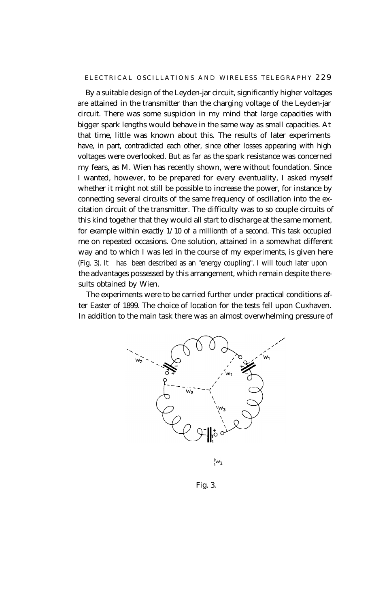# ELECTRICAL OSCILLATIONS AND WIRELESS TELEGRAPHY 2 2 9

By a suitable design of the Leyden-jar circuit, significantly higher voltages are attained in the transmitter than the charging voltage of the Leyden-jar circuit. There was some suspicion in my mind that large capacities with bigger spark lengths would behave in the same way as small capacities. At that time, little was known about this. The results of later experiments have, in part, contradicted each other, since other losses appearing with high voltages were overlooked. But as far as the spark resistance was concerned my fears, as M. Wien has recently shown, were without foundation. Since I wanted, however, to be prepared for every eventuality, I asked myself whether it might not still be possible to increase the power, for instance by connecting several circuits of the same frequency of oscillation into the excitation circuit of the transmitter. The difficulty was to so couple circuits of this kind together that they would all start to discharge at the same moment, for example within exactly 1/10 of a millionth of a second. This task occupied me on repeated occasions. One solution, attained in a somewhat different way and to which I was led in the course of my experiments, is given here (Fig. 3). It has been described as an "energy coupling". I will touch later upon the advantages possessed by this arrangement, which remain despite the results obtained by Wien.

The experiments were to be carried further under practical conditions after Easter of 1899. The choice of location for the tests fell upon Cuxhaven. In addition to the main task there was an almost overwhelming pressure of



¦w<sub>3</sub>

Fig. 3.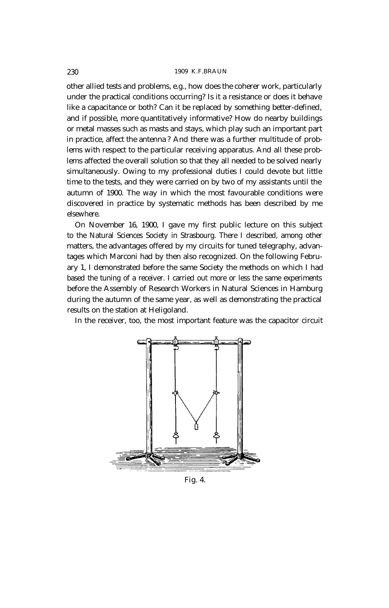other allied tests and problems, e.g., how does the coherer work, particularly under the practical conditions occurring? Is it a resistance or does it behave like a capacitance or both? Can it be replaced by something better-defined, and if possible, more quantitatively informative? How do nearby buildings or metal masses such as masts and stays, which play such an important part in practice, affect the antenna ? And there was a further multitude of problems with respect to the particular receiving apparatus. And all these problems affected the overall solution so that they all needed to be solved nearly simultaneously. Owing to my professional duties I could devote but little time to the tests, and they were carried on by two of my assistants until the autumn of 1900. The way in which the most favourable conditions were discovered in practice by systematic methods has been described by me elsewhere.

On November 16, 1900, I gave my first public lecture on this subject to the Natural Sciences Society in Strasbourg. There I described, among other matters, the advantages offered by my circuits for tuned telegraphy, advantages which Marconi had by then also recognized. On the following February 1, I demonstrated before the same Society the methods on which I had based the tuning of a receiver. I carried out more or less the same experiments before the Assembly of Research Workers in Natural Sciences in Hamburg during the autumn of the same year, as well as demonstrating the practical results on the station at Heligoland.

In the receiver, too, the most important feature was the capacitor circuit



Fig. 4.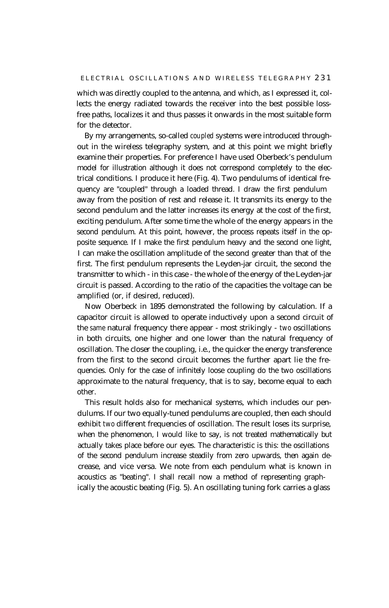# ELECTRIAL OSCILLATIONS AND WIRELESS TELEGRAPHY 2 3 1

which was directly coupled to the antenna, and which, as I expressed it, collects the energy radiated towards the receiver into the best possible lossfree paths, localizes it and thus passes it onwards in the most suitable form for the detector.

By my arrangements, so-called *coupled* systems were introduced throughout in the wireless telegraphy system, and at this point we might briefly examine their properties. For preference I have used Oberbeck's pendulum model for illustration although it does not correspond completely to the electrical conditions. I produce it here (Fig. 4). Two pendulums of identical frequency are "coupled" through a loaded thread. I draw the first pendulum away from the position of rest and release it. It transmits its energy to the second pendulum and the latter increases its energy at the cost of the first, exciting pendulum. After some time the whole of the energy appears in the second pendulum. At this point, however, the process repeats itself in the opposite sequence. If I make the first pendulum heavy and the second one light, I can make the oscillation amplitude of the second greater than that of the first. The first pendulum represents the Leyden-jar circuit, the second the transmitter to which - in this case - the whole of the energy of the Leyden-jar circuit is passed. According to the ratio of the capacities the voltage can be amplified (or, if desired, reduced).

Now Oberbeck in 1895 demonstrated the following by calculation. If a capacitor circuit is allowed to operate inductively upon a second circuit of the *same* natural frequency there appear - most strikingly - *two* oscillations in both circuits, one higher and one lower than the natural frequency of oscillation. The closer the coupling, i.e., the quicker the energy transference from the first to the second circuit becomes the further apart lie the frequencies. Only for the case of infinitely loose coupling do the two oscillations approximate to the natural frequency, that is to say, become equal to each other.

This result holds also for mechanical systems, which includes our pendulums. If our two equally-tuned pendulums are coupled, then each should exhibit *two* different frequencies of oscillation. The result loses its surprise, when the phenomenon, I would like to say, is not treated mathematically but actually takes place before our eyes. The characteristic is this: the oscillations of the second pendulum increase steadily from zero upwards, then again decrease, and vice versa. We note from each pendulum what is known in acoustics as "beating". I shall recall now a method of representing graphically the acoustic beating (Fig. 5). An oscillating tuning fork carries a glass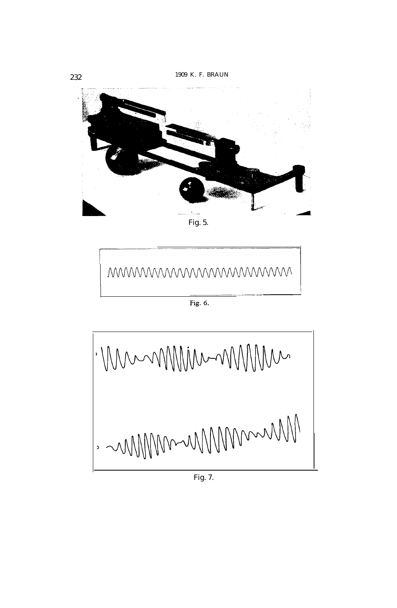



Fig. 6.

WWWWWWWWWWW Munimmunism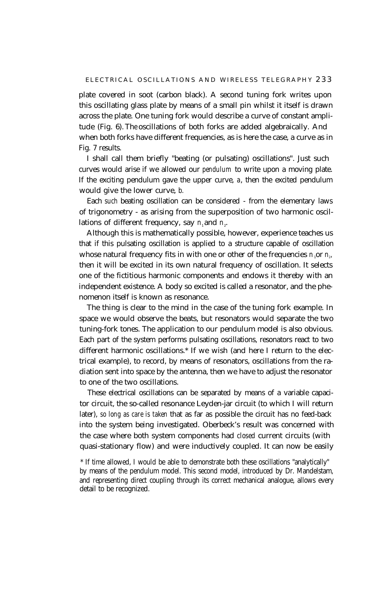plate covered in soot (carbon black). A second tuning fork writes upon this oscillating glass plate by means of a small pin whilst it itself is drawn across the plate. One tuning fork would describe a curve of constant amplitude (Fig. 6). The oscillations of both forks are added algebraically. And when both forks have different frequencies, as is here the case, a curve as in Fig. 7 results.

I shall call them briefly "beating (or pulsating) oscillations". Just such curves would arise if we allowed our *pendulum* to write upon a moving plate. If the exciting pendulum gave the upper curve, *a*, then the excited pendulum would give the lower curve, *b.*

Each *such* beating oscillation can be considered - from the elementary laws of trigonometry - as arising from the superposition of two harmonic oscillations of different frequency, say  $n_{\scriptscriptstyle \rm l}$  and  $n_{\scriptscriptstyle \rm 2}$ .

Although this is mathematically possible, however, experience teaches us that if this pulsating oscillation is applied to a structure capable of oscillation whose natural frequency fits in with one or other of the frequencies  $n_{\rm i}$ or  $n_{\rm z}$ then it will be excited in its own natural frequency of oscillation. It selects one of the fictitious harmonic components and endows it thereby with an independent existence. A body so excited is called a resonator, and the phenomenon itself is known as resonance.

The thing is clear to the mind in the case of the tuning fork example. In space we would observe the beats, but resonators would separate the two tuning-fork tones. The application to our pendulum model is also obvious. Each part of the system performs pulsating oscillations, resonators react to two different harmonic oscillations.\* If we wish (and here I return to the electrical example), to record, by means of resonators, oscillations from the radiation sent into space by the antenna, then we have to adjust the resonator to one of the two oscillations.

These electrical oscillations can be separated by means of a variable capacitor circuit, the so-called resonance Leyden-jar circuit (to which I will return later), *so long as care is taken* that as far as possible the circuit has no feed-back into the system being investigated. Oberbeck's result was concerned with the case where both system components had *closed* current circuits (with quasi-stationary flow) and were inductively coupled. It can now be easily

\* If time allowed, I would be able to demonstrate both these oscillations "analytically" by means of the pendulum model. This second model, introduced by Dr. Mandelstam, and representing direct coupling through its correct mechanical analogue, allows every detail to be recognized.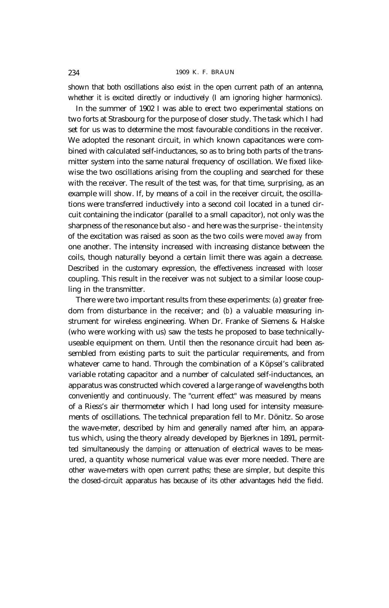shown that both oscillations also exist in the open current path of an antenna, whether it is excited directly or inductively (I am ignoring higher harmonics).

In the summer of 1902 I was able to erect two experimental stations on two forts at Strasbourg for the purpose of closer study. The task which I had set for us was to determine the most favourable conditions in the receiver. We adopted the resonant circuit, in which known capacitances were combined with calculated self-inductances, so as to bring both parts of the transmitter system into the same natural frequency of oscillation. We fixed likewise the two oscillations arising from the coupling and searched for these with the receiver. The result of the test was, for that time, surprising, as an example will show. If, by means of a coil in the receiver circuit, the oscillations were transferred inductively into a second coil located in a tuned circuit containing the indicator (parallel to a small capacitor), not only was the sharpness of the resonance but also - and here was the surprise *-* the *intensity* of the excitation was raised as soon as the two coils were *moved away* from one another. The intensity increased with increasing distance between the coils, though naturally beyond a certain limit there was again a decrease. Described in the customary expression, the effectiveness increased with *looser* coupling. This result in the receiver was *not* subject to a similar loose coupling in the transmitter.

There were two important results from these experiments: (*a*) greater freedom from disturbance in the receiver; and (*b*) a valuable measuring instrument for wireless engineering. When Dr. Franke of Siemens & Halske (who were working with us) saw the tests he proposed to base technicallyuseable equipment on them. Until then the resonance circuit had been assembled from existing parts to suit the particular requirements, and from whatever came to hand. Through the combination of a Köpsel's calibrated variable rotating capacitor and a number of calculated self-inductances, an apparatus was constructed which covered a large range of wavelengths both conveniently and continuously. The "current effect" was measured by means of a Riess's air thermometer which I had long used for intensity measurements of oscillations. The technical preparation fell to Mr. Dönitz. So arose the wave-meter, described by him and generally named after him, an apparatus which, using the theory already developed by Bjerknes in 1891, permitted simultaneously the *damping* or attenuation of electrical waves to be measured, a quantity whose numerical value was ever more needed. There are other wave-meters with open current paths; these are simpler, but despite this the closed-circuit apparatus has because of its other advantages held the field.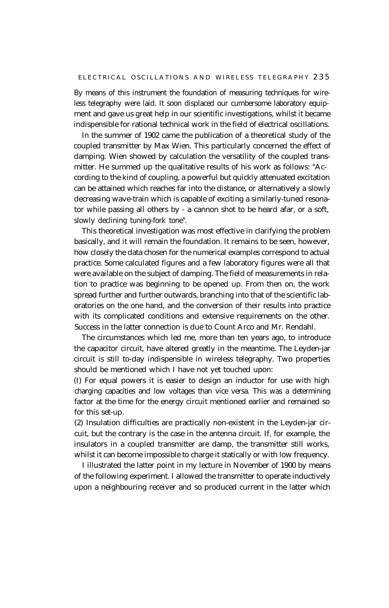### ELECTRICAL OSCILLATIONS AND WIRELESS TELEGRAPHY 2 3 5

By means of this instrument the foundation of measuring techniques for wireless telegraphy were laid. It soon displaced our cumbersome laboratory equipment and gave us great help in our scientific investigations, whilst it became indispensible for rational technical work in the field of electrical oscillations.

In the summer of 1902 came the publication of a theoretical study of the coupled transmitter by Max Wien. This particularly concerned the effect of damping. Wien showed by calculation the versatility of the coupled transmitter. He summed up the qualitative results of his work as follows: "According to the kind of coupling, a powerful but quickly attenuated excitation can be attained which reaches far into the distance, or alternatively a slowly decreasing wave-train which is capable of exciting a similarly-tuned resonator while passing all others by - a cannon shot to be heard afar, or a soft, slowly declining tuning-fork tone".

This theoretical investigation was most effective in clarifying the problem basically, and it will remain the foundation. It remains to be seen, however, how closely the data chosen for the numerical examples correspond to actual practice. Some calculated figures and a few laboratory figures were all that were available on the subject of damping. The field of measurements in relation to practice was beginning to be opened up. From then on, the work spread further and further outwards, branching into that of the scientific laboratories on the one hand, and the conversion of their results into practice with its complicated conditions and extensive requirements on the other. Success in the latter connection is due to Count Arco and Mr. Rendahl.

The circumstances which led me, more than ten years ago, to introduce the capacitor circuit, have altered greatly in the meantime. The Leyden-jar circuit is still to-day indispensible in wireless telegraphy. Two properties should be mentioned which I have not yet touched upon:

(I) For equal powers it is easier to design an inductor for use with high charging capacities and low voltages than vice versa. This was a determining factor at the time for the energy circuit mentioned earlier and remained so for this set-up.

(2) Insulation difficulties are practically non-existent in the Leyden-jar circuit, but the contrary is the case in the antenna circuit. If, for example, the insulators in a coupled transmitter are damp, the transmitter still works, whilst it can become impossible to charge it statically or with low frequency.

I illustrated the latter point in my lecture in November of 1900 by means of the following experiment. I allowed the transmitter to operate inductively upon a neighbouring receiver and so produced current in the latter which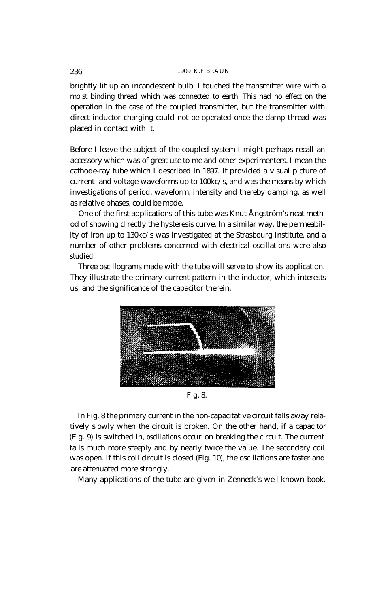brightly lit up an incandescent bulb. I touched the transmitter wire with a moist binding thread which was connected to earth. This had no effect on the operation in the case of the coupled transmitter, but the transmitter with direct inductor charging could not be operated once the damp thread was placed in contact with it.

Before I leave the subject of the coupled system I might perhaps recall an accessory which was of great use to me and other experimenters. I mean the cathode-ray tube which I described in 1897. It provided a visual picture of current- and voltage-waveforms up to 100kc/s, and was the means by which investigations of period, waveform, intensity and thereby damping, as well as relative phases, could be made.

One of the first applications of this tube was Knut Ångström's neat method of showing directly the hysteresis curve. In a similar way, the permeability of iron up to 130kc/s was investigated at the Strasbourg Institute, and a number of other problems concerned with electrical oscillations were also studied.

Three oscillograms made with the tube will serve to show its application. They illustrate the primary current pattern in the inductor, which interests us, and the significance of the capacitor therein.



Fig. 8.

In Fig. 8 the primary current in the non-capacitative circuit falls away relatively slowly when the circuit is broken. On the other hand, if a capacitor (Fig. 9) is switched in, *oscillations* occur on breaking the circuit. The current falls much more steeply and by nearly twice the value. The secondary coil was open. If this coil circuit is closed (Fig. 10), the oscillations are faster and are attenuated more strongly.

Many applications of the tube are given in Zenneck's well-known book.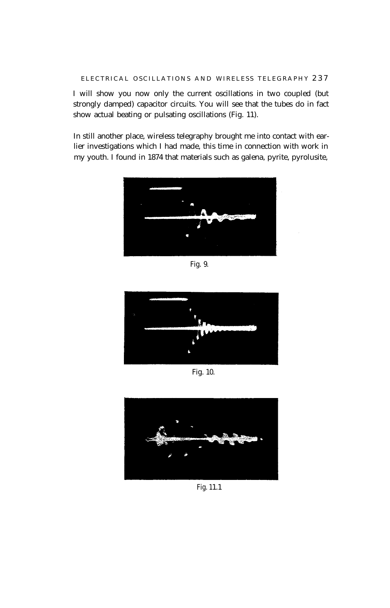# ELECTRICAL OSCILLATIONS AND WIRELESS TELEGRAPHY 2 3 7

I will show you now only the current oscillations in two coupled (but strongly damped) capacitor circuits. You will see that the tubes do in fact show actual beating or pulsating oscillations (Fig. 11).

In still another place, wireless telegraphy brought me into contact with earlier investigations which I had made, this time in connection with work in my youth. I found in 1874 that materials such as galena, pyrite, pyrolusite,



Fig. 9.



Fig. 10.



Fig. 11.1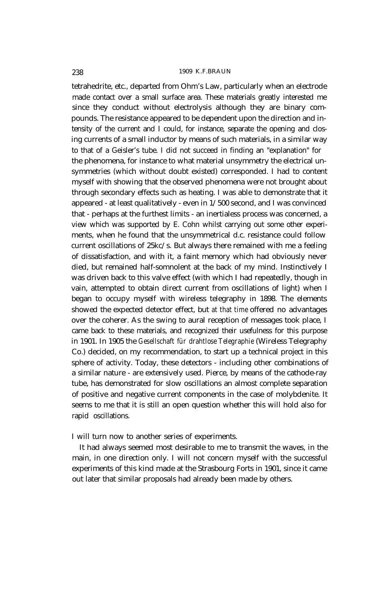tetrahedrite, etc., departed from Ohm's Law, particularly when an electrode made contact over a small surface area. These materials greatly interested me since they conduct without electrolysis although they are binary compounds. The resistance appeared to be dependent upon the direction and intensity of the current and I could, for instance, separate the opening and closing currents of a small inductor by means of such materials, in a similar way to that of a Geisler's tube. I did not succeed in finding an "explanation" for the phenomena, for instance to what material unsymmetry the electrical unsymmetries (which without doubt existed) corresponded. I had to content myself with showing that the observed phenomena were not brought about through secondary effects such as heating. I was able to demonstrate that it appeared - at least qualitatively - even in 1/500 second, and I was convinced that - perhaps at the furthest limits - an inertialess process was concerned, a view which was supported by E. Cohn whilst carrying out some other experiments, when he found that the unsymmetrical d.c. resistance could follow current oscillations of 25kc/s. But always there remained with me a feeling of dissatisfaction, and with it, a faint memory which had obviously never died, but remained half-somnolent at the back of my mind. Instinctively I was driven back to this valve effect (with which I had repeatedly, though in vain, attempted to obtain direct current from oscillations of light) when I began to occupy myself with wireless telegraphy in 1898. The elements showed the expected detector effect, but *at that time* offered no advantages over the coherer. As the swing to aural reception of messages took place, I came back to these materials, and recognized their usefulness for this purpose in 1901. In 1905 the *Gesellschaft für drahtlose Telegraphie* (Wireless Telegraphy Co.) decided, on my recommendation, to start up a technical project in this sphere of activity. Today, these detectors - including other combinations of a similar nature - are extensively used. Pierce, by means of the cathode-ray tube, has demonstrated for slow oscillations an almost complete separation of positive and negative current components in the case of molybdenite. It seems to me that it is still an open question whether this will hold also for rapid oscillations.

I will turn now to another series of experiments.

It had always seemed most desirable to me to transmit the waves, in the main, in one direction only. I will not concern myself with the successful experiments of this kind made at the Strasbourg Forts in 1901, since it came out later that similar proposals had already been made by others.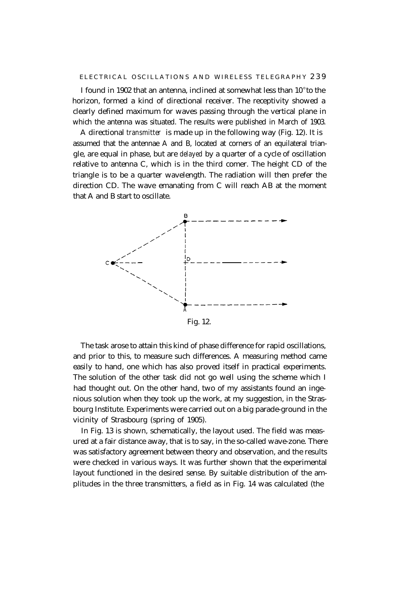### ELECTRICAL OSCILLATIONS AND WIRELESS TELEGRAPHY 2 3 9

I found in 1902 that an antenna, inclined at somewhat less than 10° to the horizon, formed a kind of directional receiver. The receptivity showed a clearly defined maximum for waves passing through the vertical plane in which the antenna was situated. The results were published in March of 1903.

A directional *transmitter* is made up in the following way (Fig. 12). It is assumed that the antennae A and B, located at corners of an equilateral triangle, are equal in phase, but are *delayed* by a quarter of a cycle of oscillation relative to antenna C, which is in the third comer. The height CD of the triangle is to be a quarter wavelength. The radiation will then prefer the direction CD. The wave emanating from C will reach AB at the moment that A and B start to oscillate.



The task arose to attain this kind of phase difference for rapid oscillations, and prior to this, to measure such differences. A measuring method came easily to hand, one which has also proved itself in practical experiments. The solution of the other task did not go well using the scheme which I had thought out. On the other hand, two of my assistants found an ingenious solution when they took up the work, at my suggestion, in the Strasbourg Institute. Experiments were carried out on a big parade-ground in the vicinity of Strasbourg (spring of 1905).

In Fig. 13 is shown, schematically, the layout used. The field was measured at a fair distance away, that is to say, in the so-called wave-zone. There was satisfactory agreement between theory and observation, and the results were checked in various ways. It was further shown that the experimental layout functioned in the desired sense. By suitable distribution of the amplitudes in the three transmitters, a field as in Fig. 14 was calculated (the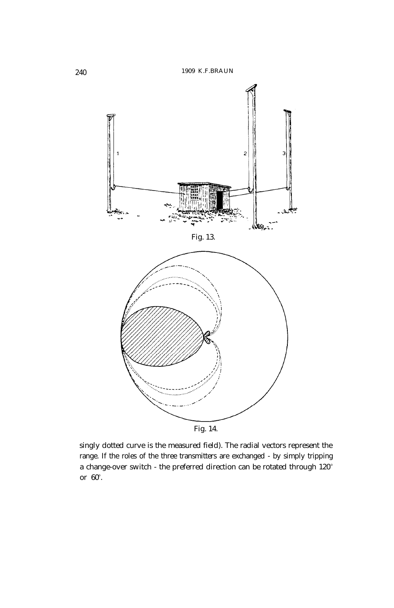

singly dotted curve is the measured field). The radial vectors represent the range. If the roles of the three transmitters are exchanged - by simply tripping a change-over switch - the preferred direction can be rotated through  $120^{\circ}$ or  $60^\circ$ .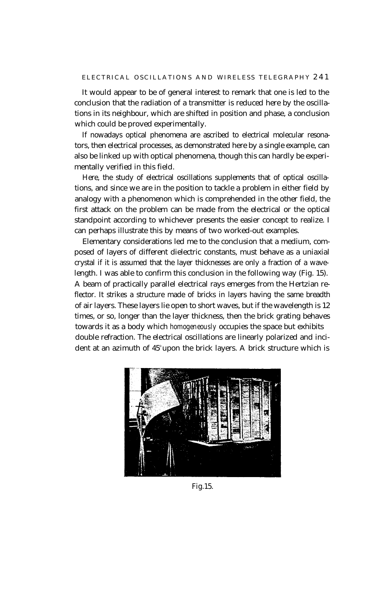It would appear to be of general interest to remark that one is led to the conclusion that the radiation of a transmitter is reduced here by the oscillations in its neighbour, which are shifted in position and phase, a conclusion which could be proved experimentally.

If nowadays optical phenomena are ascribed to electrical molecular resonators, then electrical processes, as demonstrated here by a single example, can also be linked up with optical phenomena, though this can hardly be experimentally verified in this field.

Here, the study of electrical oscillations supplements that of optical oscillations, and since we are in the position to tackle a problem in either field by analogy with a phenomenon which is comprehended in the other field, the first attack on the problem can be made from the electrical or the optical standpoint according to whichever presents the easier concept to realize. I can perhaps illustrate this by means of two worked-out examples.

Elementary considerations led me to the conclusion that a medium, composed of layers of different dielectric constants, must behave as a uniaxial crystal if it is assumed that the layer thicknesses are only a fraction of a wavelength. I was able to confirm this conclusion in the following way (Fig. 15). A beam of practically parallel electrical rays emerges from the Hertzian reflector. It strikes a structure made of bricks in layers having the same breadth of air layers. These layers lie open to short waves, but if the wavelength is 12 times, or so, longer than the layer thickness, then the brick grating behaves towards it as a body which *homogeneously* occupies the space but exhibits double refraction. The electrical oscillations are linearly polarized and incident at an azimuth of 45°upon the brick layers. A brick structure which is



Fig. 15.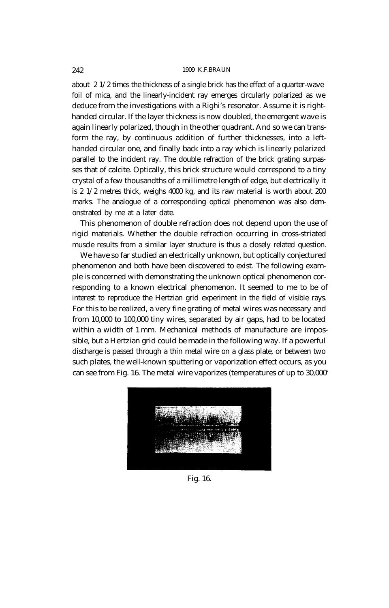about 2 1/2 times the thickness of a single brick has the effect of a quarter-wave foil of mica, and the linearly-incident ray emerges circularly polarized as we deduce from the investigations with a Righi's resonator. Assume it is righthanded circular. If the layer thickness is now doubled, the emergent wave is again linearly polarized, though in the other quadrant. And so we can transform the ray, by continuous addition of further thicknesses, into a lefthanded circular one, and finally back into a ray which is linearly polarized parallel to the incident ray. The double refraction of the brick grating surpasses that of calcite. Optically, this brick structure would correspond to a tiny crystal of a few thousandths of a millimetre length of edge, but electrically it is 2 1/2 metres thick, weighs 4000 kg, and its raw material is worth about 200 marks. The analogue of a corresponding optical phenomenon was also demonstrated by me at a later date.

This phenomenon of double refraction does not depend upon the use of rigid materials. Whether the double refraction occurring in cross-striated muscle results from a similar layer structure is thus a closely related question.

We have so far studied an electrically unknown, but optically conjectured phenomenon and both have been discovered to exist. The following example is concerned with demonstrating the unknown optical phenomenon corresponding to a known electrical phenomenon. It seemed to me to be of interest to reproduce the Hertzian grid experiment in the field of visible rays. For this to be realized, a very fine grating of metal wires was necessary and from 10,000 to 100,000 tiny wires, separated by air gaps, had to be located within a width of 1 mm. Mechanical methods of manufacture are impossible, but a Hertzian grid could be made in the following way. If a powerful discharge is passed through a thin metal wire on a glass plate, or between two such plates, the well-known sputtering or vaporization effect occurs, as you can see from Fig. 16. The metal wire vaporizes (temperatures of up to  $30,\!000^\circ$ 



Fig. 16.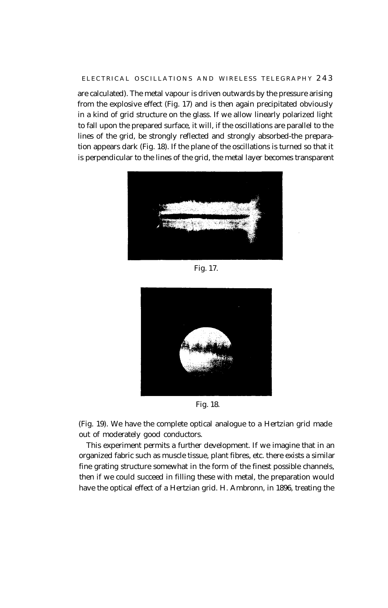### ELECTRICAL OSCILLATIONS AND WIRELESS TELEGRAPHY 2 4 3

are calculated). The metal vapour is driven outwards by the pressure arising from the explosive effect (Fig. 17) and is then again precipitated obviously in a kind of grid structure on the glass. If we allow linearly polarized light to fall upon the prepared surface, it will, if the oscillations are parallel to the lines of the grid, be strongly reflected and strongly absorbed-the preparation appears dark (Fig. 18). If the plane of the oscillations is turned so that it is perpendicular to the lines of the grid, the metal layer becomes transparent



Fig. 17.



Fig. 18.

(Fig. 19). We have the complete optical analogue to a Hertzian grid made out of moderately good conductors.

This experiment permits a further development. If we imagine that in an organized fabric such as muscle tissue, plant fibres, etc. there exists a similar fine grating structure somewhat in the form of the finest possible channels, then if we could succeed in filling these with metal, the preparation would have the optical effect of a Hertzian grid. H. Ambronn, in 1896, treating the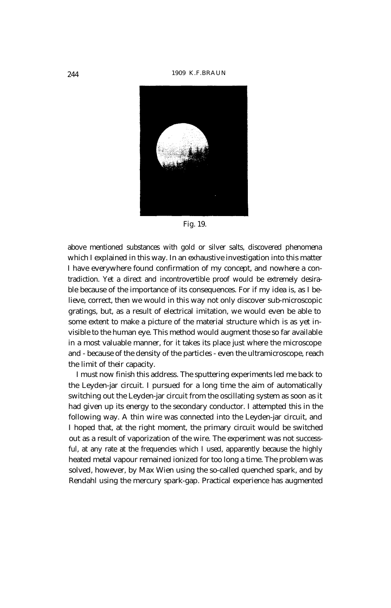

Fig. 19.

above mentioned substances with gold or silver salts, discovered phenomena which I explained in this way. In an exhaustive investigation into this matter I have everywhere found confirmation of my concept, and nowhere a contradiction. Yet a direct and incontrovertible proof would be extremely desirable because of the importance of its consequences. For if my idea is, as I believe, correct, then we would in this way not only discover sub-microscopic gratings, but, as a result of electrical imitation, we would even be able to some extent to make a picture of the material structure which is as yet invisible to the human eye. This method would augment those so far available in a most valuable manner, for it takes its place just where the microscope and - because of the density of the particles - even the ultramicroscope, reach the limit of their capacity.

I must now finish this address. The sputtering experiments led me back to the Leyden-jar circuit. I pursued for a long time the aim of automatically switching out the Leyden-jar circuit from the oscillating system as soon as it had given up its energy to the secondary conductor. I attempted this in the following way. A thin wire was connected into the Leyden-jar circuit, and I hoped that, at the right moment, the primary circuit would be switched out as a result of vaporization of the wire. The experiment was not successful, at any rate at the frequencies which I used, apparently because the highly heated metal vapour remained ionized for too long a time. The problem was solved, however, by Max Wien using the so-called quenched spark, and by Rendahl using the mercury spark-gap. Practical experience has augmented